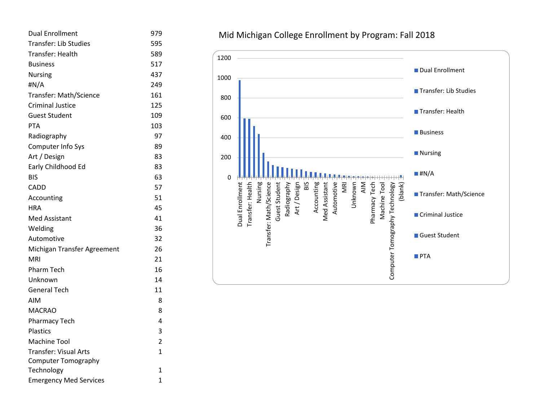| <b>Dual Enrollment</b>        | 979            |
|-------------------------------|----------------|
| <b>Transfer: Lib Studies</b>  | 595            |
| Transfer: Health              | 589            |
| <b>Business</b>               | 517            |
| <b>Nursing</b>                | 437            |
| #N/A                          | 249            |
| Transfer: Math/Science        | 161            |
| <b>Criminal Justice</b>       | 125            |
| Guest Student                 | 109            |
| <b>PTA</b>                    | 103            |
| Radiography                   | 97             |
| Computer Info Sys             | 89             |
| Art / Design                  | 83             |
| Early Childhood Ed            | 83             |
| BIS                           | 63             |
| CADD                          | 57             |
| Accounting                    | 51             |
| <b>HRA</b>                    | 45             |
| <b>Med Assistant</b>          | 41             |
| Welding                       | 36             |
| Automotive                    | 32             |
| Michigan Transfer Agreement   | 26             |
| <b>MRI</b>                    | 21             |
| <b>Pharm Tech</b>             | 16             |
| Unknown                       | 14             |
| General Tech                  | 11             |
| AIM                           | 8              |
| <b>MACRAO</b>                 | 8              |
| <b>Pharmacy Tech</b>          | 4              |
| <b>Plastics</b>               | 3              |
| <b>Machine Tool</b>           | $\overline{2}$ |
| <b>Transfer: Visual Arts</b>  | 1              |
| <b>Computer Tomography</b>    |                |
| Technology                    | 1              |
| <b>Emergency Med Services</b> | $\mathbf{1}$   |

## Mid Michigan College Enrollment by Program: Fall 2018